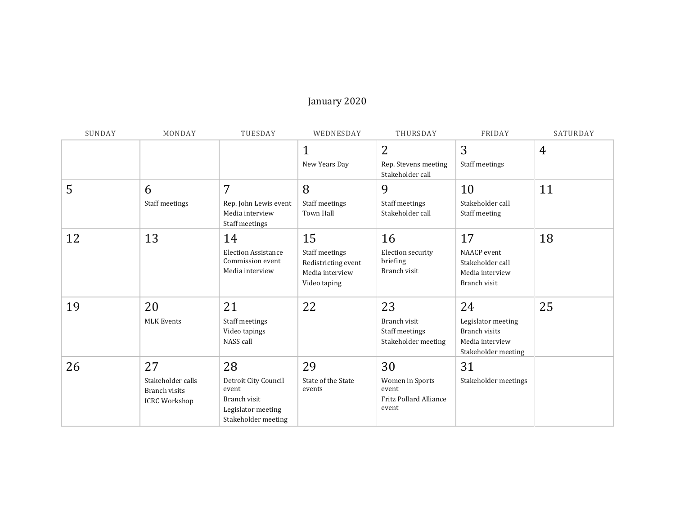## January 2020

| SUNDAY | MONDAY                                                           | TUESDAY                                                                                          | WEDNESDAY                                                                      | THURSDAY                                                                 | FRIDAY                                                                                     | SATURDAY       |
|--------|------------------------------------------------------------------|--------------------------------------------------------------------------------------------------|--------------------------------------------------------------------------------|--------------------------------------------------------------------------|--------------------------------------------------------------------------------------------|----------------|
|        |                                                                  |                                                                                                  | $\mathbf 1$<br>New Years Day                                                   | $\overline{2}$<br>Rep. Stevens meeting<br>Stakeholder call               | 3<br>Staff meetings                                                                        | $\overline{4}$ |
| 5      | 6<br>Staff meetings                                              | 7<br>Rep. John Lewis event<br>Media interview<br>Staff meetings                                  | 8<br>Staff meetings<br><b>Town Hall</b>                                        | 9<br>Staff meetings<br>Stakeholder call                                  | 10<br>Stakeholder call<br>Staff meeting                                                    | 11             |
| 12     | 13                                                               | 14<br><b>Election Assistance</b><br>Commission event<br>Media interview                          | 15<br>Staff meetings<br>Redistricting event<br>Media interview<br>Video taping | 16<br>Election security<br>briefing<br>Branch visit                      | 17<br>NAACP event<br>Stakeholder call<br>Media interview<br>Branch visit                   | 18             |
| 19     | 20<br><b>MLK Events</b>                                          | 21<br>Staff meetings<br>Video tapings<br>NASS call                                               | 22                                                                             | 23<br>Branch visit<br>Staff meetings<br>Stakeholder meeting              | 24<br>Legislator meeting<br><b>Branch visits</b><br>Media interview<br>Stakeholder meeting | 25             |
| 26     | 27<br>Stakeholder calls<br>Branch visits<br><b>ICRC Workshop</b> | 28<br>Detroit City Council<br>event<br>Branch visit<br>Legislator meeting<br>Stakeholder meeting | 29<br>State of the State<br>events                                             | 30<br>Women in Sports<br>event<br><b>Fritz Pollard Alliance</b><br>event | 31<br>Stakeholder meetings                                                                 |                |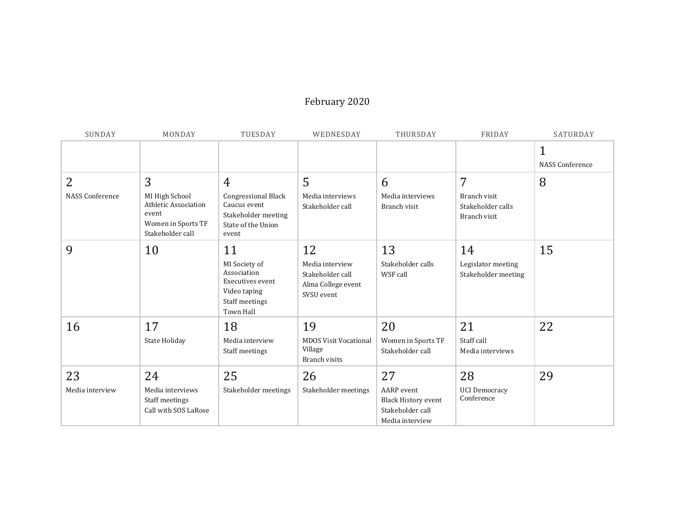## February 2020

| SUNDAY                 | MONDAY                                                                                    | TUESDAY                                                                                                      | WEDNESDAY                                                                     | THURSDAY                                                                 | FRIDAY                                            | SATURDAY                               |
|------------------------|-------------------------------------------------------------------------------------------|--------------------------------------------------------------------------------------------------------------|-------------------------------------------------------------------------------|--------------------------------------------------------------------------|---------------------------------------------------|----------------------------------------|
|                        |                                                                                           |                                                                                                              |                                                                               |                                                                          |                                                   | $\mathbf{1}$<br><b>NASS Conference</b> |
| 2                      | 3                                                                                         | 4                                                                                                            | 5                                                                             | 6                                                                        | 7                                                 | 8                                      |
| <b>NASS Conference</b> | MI High School<br>Athletic Association<br>event<br>Women in Sports TF<br>Stakeholder call | <b>Congressional Black</b><br>Caucus event<br>Stakeholder meeting<br>State of the Union<br>event             | Media interviews<br>Stakeholder call                                          | Media interviews<br>Branch visit                                         | Branch visit<br>Stakeholder calls<br>Branch visit |                                        |
| 9                      | 10                                                                                        | 11<br>MI Society of<br>Association<br>Executives event<br>Video taping<br>Staff meetings<br><b>Town Hall</b> | 12<br>Media interview<br>Stakeholder call<br>Alma College event<br>SVSU event | 13<br>Stakeholder calls<br>WSF call                                      | 14<br>Legislator meeting<br>Stakeholder meeting   | 15                                     |
| 16                     | 17                                                                                        | 18                                                                                                           | 19                                                                            | 20                                                                       | 21                                                | 22                                     |
|                        | State Holiday                                                                             | Media interview<br>Staff meetings                                                                            | <b>MDOS Visit Vocational</b><br>Village<br>Branch visits                      | Women in Sports TF<br>Stakeholder call                                   | Staff call<br>Media interviews                    |                                        |
| 23                     | 24                                                                                        | 25                                                                                                           | 26                                                                            | 27                                                                       | 28                                                | 29                                     |
| Media interview        | Media interviews<br>Staff meetings<br>Call with SOS LaRose                                | Stakeholder meetings                                                                                         | Stakeholder meetings                                                          | AARP event<br>Black History event<br>Stakeholder call<br>Media interview | <b>UCI Democracy</b><br>Conference                |                                        |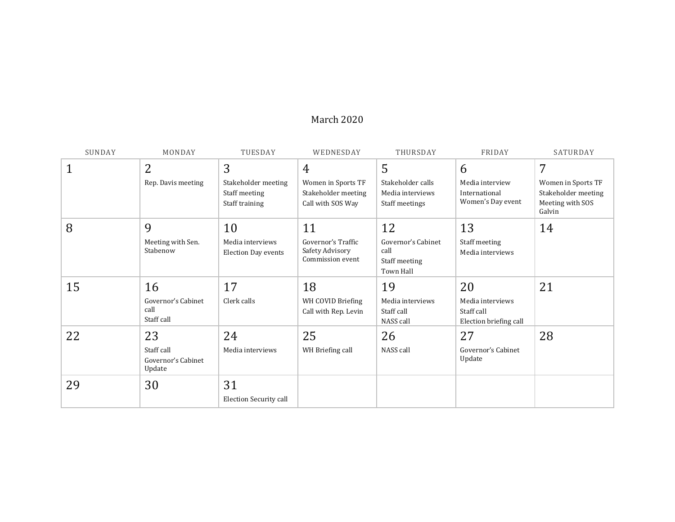## March 2020

| SUNDAY | MONDAY                                     | TUESDAY                                                | WEDNESDAY                                                      | THURSDAY                                                        | FRIDAY                                                   | SATURDAY                                                                |
|--------|--------------------------------------------|--------------------------------------------------------|----------------------------------------------------------------|-----------------------------------------------------------------|----------------------------------------------------------|-------------------------------------------------------------------------|
| 1      | 2                                          | 3                                                      | 4                                                              | 5                                                               | 6                                                        | 7                                                                       |
|        | Rep. Davis meeting                         | Stakeholder meeting<br>Staff meeting<br>Staff training | Women in Sports TF<br>Stakeholder meeting<br>Call with SOS Way | Stakeholder calls<br>Media interviews<br>Staff meetings         | Media interview<br>International<br>Women's Day event    | Women in Sports TF<br>Stakeholder meeting<br>Meeting with SOS<br>Galvin |
| 8      | 9                                          | 10                                                     | 11                                                             | 12                                                              | 13                                                       | 14                                                                      |
|        | Meeting with Sen.<br>Stabenow              | Media interviews<br>Election Day events                | Governor's Traffic<br>Safety Advisory<br>Commission event      | Governor's Cabinet<br>call<br>Staff meeting<br><b>Town Hall</b> | Staff meeting<br>Media interviews                        |                                                                         |
| 15     | 16                                         | 17                                                     | 18                                                             | 19                                                              | 20                                                       | 21                                                                      |
|        | Governor's Cabinet<br>call<br>Staff call   | Clerk calls                                            | WH COVID Briefing<br>Call with Rep. Levin                      | Media interviews<br>Staff call<br>NASS call                     | Media interviews<br>Staff call<br>Election briefing call |                                                                         |
| 22     | 23                                         | 24                                                     | 25                                                             | 26                                                              | 27                                                       | 28                                                                      |
|        | Staff call<br>Governor's Cabinet<br>Update | Media interviews                                       | WH Briefing call                                               | NASS call                                                       | Governor's Cabinet<br>Update                             |                                                                         |
| 29     | 30                                         | 31                                                     |                                                                |                                                                 |                                                          |                                                                         |
|        |                                            | <b>Election Security call</b>                          |                                                                |                                                                 |                                                          |                                                                         |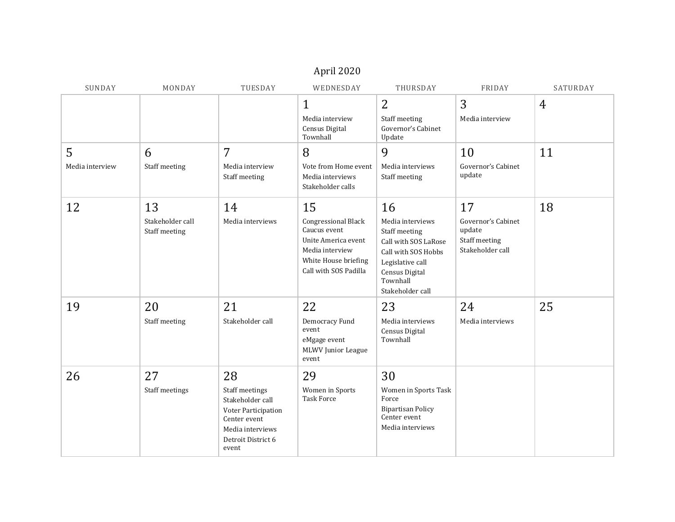| April 2020           |                                         |                                                                                                                                    |                                                                                                                                      |                                                                                                                                                              |                                                                         |                |  |  |
|----------------------|-----------------------------------------|------------------------------------------------------------------------------------------------------------------------------------|--------------------------------------------------------------------------------------------------------------------------------------|--------------------------------------------------------------------------------------------------------------------------------------------------------------|-------------------------------------------------------------------------|----------------|--|--|
| SUNDAY               | MONDAY                                  | TUESDAY                                                                                                                            | WEDNESDAY                                                                                                                            | THURSDAY                                                                                                                                                     | FRIDAY                                                                  | SATURDAY       |  |  |
|                      |                                         |                                                                                                                                    | $\mathbf 1$<br>Media interview<br>Census Digital<br>Townhall                                                                         | 2<br>Staff meeting<br>Governor's Cabinet<br>Update                                                                                                           | 3<br>Media interview                                                    | $\overline{4}$ |  |  |
| 5<br>Media interview | 6<br>Staff meeting                      | 7<br>Media interview<br>Staff meeting                                                                                              | 8<br>Vote from Home event<br>Media interviews<br>Stakeholder calls                                                                   | 9<br>Media interviews<br>Staff meeting                                                                                                                       | 10<br>Governor's Cabinet<br>update                                      | 11             |  |  |
| 12                   | 13<br>Stakeholder call<br>Staff meeting | 14<br>Media interviews                                                                                                             | 15<br>Congressional Black<br>Caucus event<br>Unite America event<br>Media interview<br>White House briefing<br>Call with SOS Padilla | 16<br>Media interviews<br>Staff meeting<br>Call with SOS LaRose<br>Call with SOS Hobbs<br>Legislative call<br>Census Digital<br>Townhall<br>Stakeholder call | 17<br>Governor's Cabinet<br>update<br>Staff meeting<br>Stakeholder call | 18             |  |  |
| 19                   | 20<br>Staff meeting                     | 21<br>Stakeholder call                                                                                                             | 22<br>Democracy Fund<br>event<br>eMgage event<br>MLWV Junior League<br>event                                                         | 23<br>Media interviews<br>Census Digital<br>Townhall                                                                                                         | 24<br>Media interviews                                                  | 25             |  |  |
| 26                   | 27<br>Staff meetings                    | 28<br>Staff meetings<br>Stakeholder call<br>Voter Participation<br>Center event<br>Media interviews<br>Detroit District 6<br>event | 29<br>Women in Sports<br><b>Task Force</b>                                                                                           | 30<br>Women in Sports Task<br>Force<br><b>Bipartisan Policy</b><br>Center event<br>Media interviews                                                          |                                                                         |                |  |  |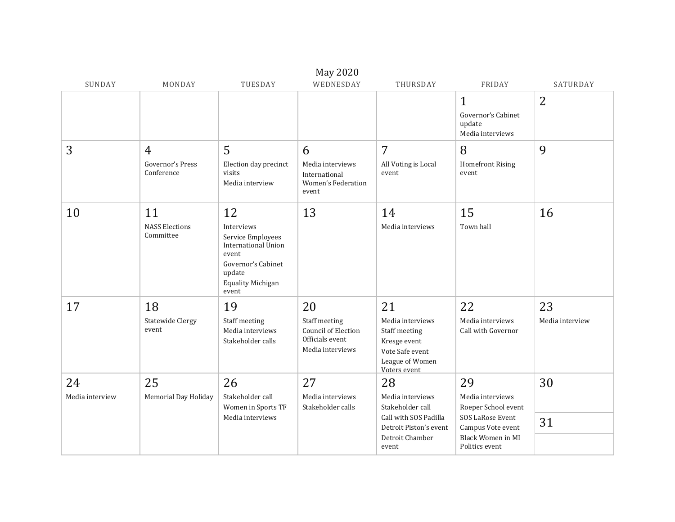|                       |                                          |                                                                                                                                                   | May 2020                                                                          |                                                                                                                           |                                                                                                                               |                       |
|-----------------------|------------------------------------------|---------------------------------------------------------------------------------------------------------------------------------------------------|-----------------------------------------------------------------------------------|---------------------------------------------------------------------------------------------------------------------------|-------------------------------------------------------------------------------------------------------------------------------|-----------------------|
| SUNDAY                | MONDAY                                   | TUESDAY                                                                                                                                           | WEDNESDAY                                                                         | THURSDAY                                                                                                                  | FRIDAY                                                                                                                        | SATURDAY              |
|                       |                                          |                                                                                                                                                   |                                                                                   |                                                                                                                           | $\mathbf 1$<br>Governor's Cabinet<br>update<br>Media interviews                                                               | 2                     |
| 3                     | 4<br>Governor's Press<br>Conference      | 5<br>Election day precinct<br>visits<br>Media interview                                                                                           | 6<br>Media interviews<br>International<br>Women's Federation<br>event             | $\overline{7}$<br>All Voting is Local<br>event                                                                            | 8<br><b>Homefront Rising</b><br>event                                                                                         | 9                     |
| 10                    | 11<br><b>NASS Elections</b><br>Committee | 12<br>Interviews<br>Service Employees<br><b>International Union</b><br>event<br>Governor's Cabinet<br>update<br><b>Equality Michigan</b><br>event | 13                                                                                | 14<br>Media interviews                                                                                                    | 15<br>Town hall                                                                                                               | 16                    |
| 17                    | 18<br><b>Statewide Clergy</b><br>event   | 19<br>Staff meeting<br>Media interviews<br>Stakeholder calls                                                                                      | 20<br>Staff meeting<br>Council of Election<br>Officials event<br>Media interviews | 21<br>Media interviews<br>Staff meeting<br>Kresge event<br>Vote Safe event<br>League of Women<br>Voters event             | 22<br>Media interviews<br>Call with Governor                                                                                  | 23<br>Media interview |
| 24<br>Media interview | 25<br>Memorial Day Holiday               | 26<br>Stakeholder call<br>Women in Sports TF<br>Media interviews                                                                                  | 27<br>Media interviews<br>Stakeholder calls                                       | 28<br>Media interviews<br>Stakeholder call<br>Call with SOS Padilla<br>Detroit Piston's event<br>Detroit Chamber<br>event | 29<br>Media interviews<br>Roeper School event<br>SOS LaRose Event<br>Campus Vote event<br>Black Women in MI<br>Politics event | 30<br>31              |
|                       |                                          |                                                                                                                                                   |                                                                                   |                                                                                                                           |                                                                                                                               |                       |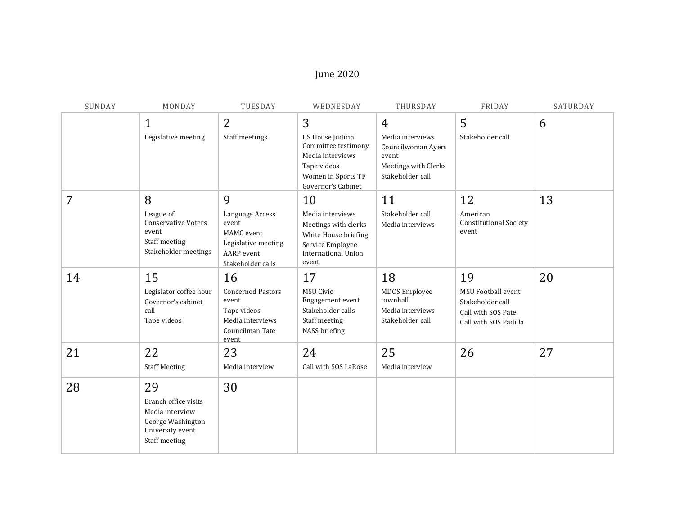## June 2020

| SUNDAY | MONDAY                                                                                                  | TUESDAY                                                                                                 | WEDNESDAY                                                                                                                      | THURSDAY                                                                                    | FRIDAY                                                                                             | SATURDAY |
|--------|---------------------------------------------------------------------------------------------------------|---------------------------------------------------------------------------------------------------------|--------------------------------------------------------------------------------------------------------------------------------|---------------------------------------------------------------------------------------------|----------------------------------------------------------------------------------------------------|----------|
|        | $\mathbf{1}$                                                                                            | $\overline{2}$                                                                                          | 3                                                                                                                              | $\overline{4}$                                                                              | 5                                                                                                  | 6        |
|        | Legislative meeting                                                                                     | Staff meetings                                                                                          | <b>US House Judicial</b><br>Committee testimony<br>Media interviews<br>Tape videos<br>Women in Sports TF<br>Governor's Cabinet | Media interviews<br>Councilwoman Ayers<br>event<br>Meetings with Clerks<br>Stakeholder call | Stakeholder call                                                                                   |          |
| 7      | 8                                                                                                       | 9                                                                                                       | 10                                                                                                                             | 11                                                                                          | 12                                                                                                 | 13       |
|        | League of<br><b>Conservative Voters</b><br>event<br>Staff meeting<br>Stakeholder meetings               | Language Access<br>event<br>MAMC event<br>Legislative meeting<br><b>AARP</b> event<br>Stakeholder calls | Media interviews<br>Meetings with clerks<br>White House briefing<br>Service Employee<br><b>International Union</b><br>event    | Stakeholder call<br>Media interviews                                                        | American<br><b>Constitutional Society</b><br>event                                                 |          |
| 14     | 15<br>Legislator coffee hour<br>Governor's cabinet<br>call<br>Tape videos                               | 16<br><b>Concerned Pastors</b><br>event<br>Tape videos<br>Media interviews<br>Councilman Tate<br>event  | 17<br><b>MSU Civic</b><br>Engagement event<br>Stakeholder calls<br>Staff meeting<br>NASS briefing                              | 18<br><b>MDOS</b> Employee<br>townhall<br>Media interviews<br>Stakeholder call              | 19<br><b>MSU Football event</b><br>Stakeholder call<br>Call with SOS Pate<br>Call with SOS Padilla | 20       |
| 21     | 22                                                                                                      | 23                                                                                                      | 24                                                                                                                             | 25                                                                                          | 26                                                                                                 | 27       |
|        | <b>Staff Meeting</b>                                                                                    | Media interview                                                                                         | Call with SOS LaRose                                                                                                           | Media interview                                                                             |                                                                                                    |          |
| 28     | 29<br>Branch office visits<br>Media interview<br>George Washington<br>University event<br>Staff meeting | 30                                                                                                      |                                                                                                                                |                                                                                             |                                                                                                    |          |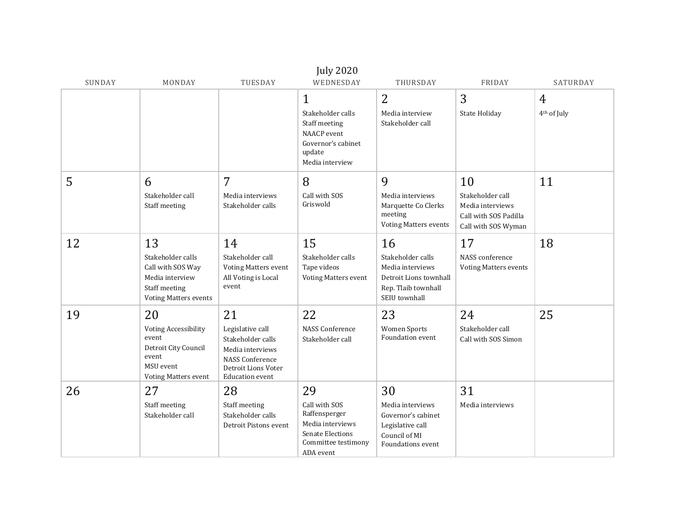| <b>July 2020</b> |                                                                                                                         |                                                                                                                                            |                                                                                                                  |                                                                                                               |                                                                                            |                              |  |
|------------------|-------------------------------------------------------------------------------------------------------------------------|--------------------------------------------------------------------------------------------------------------------------------------------|------------------------------------------------------------------------------------------------------------------|---------------------------------------------------------------------------------------------------------------|--------------------------------------------------------------------------------------------|------------------------------|--|
| SUNDAY           | MONDAY                                                                                                                  | TUESDAY                                                                                                                                    | WEDNESDAY                                                                                                        | THURSDAY                                                                                                      | FRIDAY                                                                                     | SATURDAY                     |  |
|                  |                                                                                                                         |                                                                                                                                            | 1<br>Stakeholder calls<br>Staff meeting<br>NAACP event<br>Governor's cabinet<br>update<br>Media interview        | $\overline{2}$<br>Media interview<br>Stakeholder call                                                         | 3<br>State Holiday                                                                         | 4<br>4 <sup>th</sup> of July |  |
| 5                | 6<br>Stakeholder call<br>Staff meeting                                                                                  | $\overline{7}$<br>Media interviews<br>Stakeholder calls                                                                                    | 8<br>Call with SOS<br>Griswold                                                                                   | 9<br>Media interviews<br>Marquette Co Clerks<br>meeting<br><b>Voting Matters events</b>                       | 10<br>Stakeholder call<br>Media interviews<br>Call with SOS Padilla<br>Call with SOS Wyman | 11                           |  |
| 12               | 13<br>Stakeholder calls<br>Call with SOS Way<br>Media interview<br>Staff meeting<br><b>Voting Matters events</b>        | 14<br>Stakeholder call<br><b>Voting Matters event</b><br>All Voting is Local<br>event                                                      | 15<br>Stakeholder calls<br>Tape videos<br>Voting Matters event                                                   | 16<br>Stakeholder calls<br>Media interviews<br>Detroit Lions townhall<br>Rep. Tlaib townhall<br>SEIU townhall | 17<br>NASS conference<br><b>Voting Matters events</b>                                      | 18                           |  |
| 19               | 20<br><b>Voting Accessibility</b><br>event<br>Detroit City Council<br>event<br>MSU event<br><b>Voting Matters event</b> | 21<br>Legislative call<br>Stakeholder calls<br>Media interviews<br><b>NASS Conference</b><br>Detroit Lions Voter<br><b>Education</b> event | 22<br><b>NASS Conference</b><br>Stakeholder call                                                                 | 23<br><b>Women Sports</b><br><b>Foundation event</b>                                                          | 24<br>Stakeholder call<br>Call with SOS Simon                                              | 25                           |  |
| 26               | 27<br>Staff meeting<br>Stakeholder call                                                                                 | 28<br>Staff meeting<br>Stakeholder calls<br>Detroit Pistons event                                                                          | 29<br>Call with SOS<br>Raffensperger<br>Media interviews<br>Senate Elections<br>Committee testimony<br>ADA event | 30<br>Media interviews<br>Governor's cabinet<br>Legislative call<br>Council of MI<br><b>Foundations event</b> | 31<br>Media interviews                                                                     |                              |  |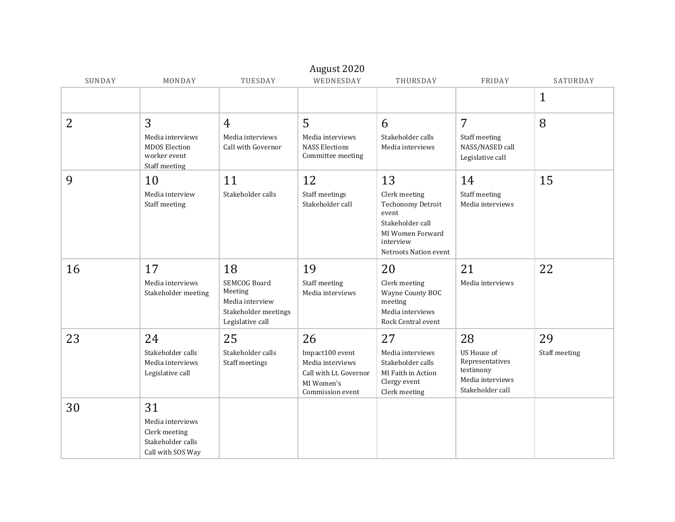|        |                                                                                   |                                                         | August 2020                                                                                     |                                                                                                                           |                                                                                     |               |
|--------|-----------------------------------------------------------------------------------|---------------------------------------------------------|-------------------------------------------------------------------------------------------------|---------------------------------------------------------------------------------------------------------------------------|-------------------------------------------------------------------------------------|---------------|
| SUNDAY | MONDAY                                                                            | TUESDAY                                                 | WEDNESDAY                                                                                       | THURSDAY                                                                                                                  | FRIDAY                                                                              | SATURDAY      |
|        |                                                                                   |                                                         |                                                                                                 |                                                                                                                           |                                                                                     | $\mathbf{1}$  |
| 2      | 3                                                                                 | $\overline{4}$                                          | 5                                                                                               | 6                                                                                                                         | 7                                                                                   | 8             |
|        | Media interviews<br><b>MDOS</b> Election<br>worker event<br>Staff meeting         | Media interviews<br>Call with Governor                  | Media interviews<br><b>NASS Elections</b><br>Committee meeting                                  | Stakeholder calls<br>Media interviews                                                                                     | Staff meeting<br>NASS/NASED call<br>Legislative call                                |               |
| 9      | 10                                                                                | 11                                                      | 12                                                                                              | 13                                                                                                                        | 14                                                                                  | 15            |
|        | Media interview<br>Staff meeting                                                  | Stakeholder calls                                       | Staff meetings<br>Stakeholder call                                                              | Clerk meeting<br>Techonomy Detroit<br>event<br>Stakeholder call<br>MI Women Forward<br>interview<br>Netroots Nation event | Staff meeting<br>Media interviews                                                   |               |
| 16     | 17<br>Media interviews<br>Stakeholder meeting                                     | 18<br><b>SEMCOG Board</b><br>Meeting<br>Media interview | 19<br>Staff meeting<br>Media interviews                                                         | 20<br>Clerk meeting<br>Wayne County BOC<br>meeting                                                                        | 21<br>Media interviews                                                              | 22            |
|        |                                                                                   | Stakeholder meetings<br>Legislative call                |                                                                                                 | Media interviews<br>Rock Central event                                                                                    |                                                                                     |               |
| 23     | 24                                                                                | 25                                                      | 26                                                                                              | 27                                                                                                                        | 28                                                                                  | 29            |
|        | Stakeholder calls<br>Media interviews<br>Legislative call                         | Stakeholder calls<br>Staff meetings                     | Impact100 event<br>Media interviews<br>Call with Lt. Governor<br>MI Women's<br>Commission event | Media interviews<br>Stakeholder calls<br>MI Faith in Action<br>Clergy event<br>Clerk meeting                              | US House of<br>Representatives<br>testimony<br>Media interviews<br>Stakeholder call | Staff meeting |
| 30     | 31<br>Media interviews<br>Clerk meeting<br>Stakeholder calls<br>Call with SOS Way |                                                         |                                                                                                 |                                                                                                                           |                                                                                     |               |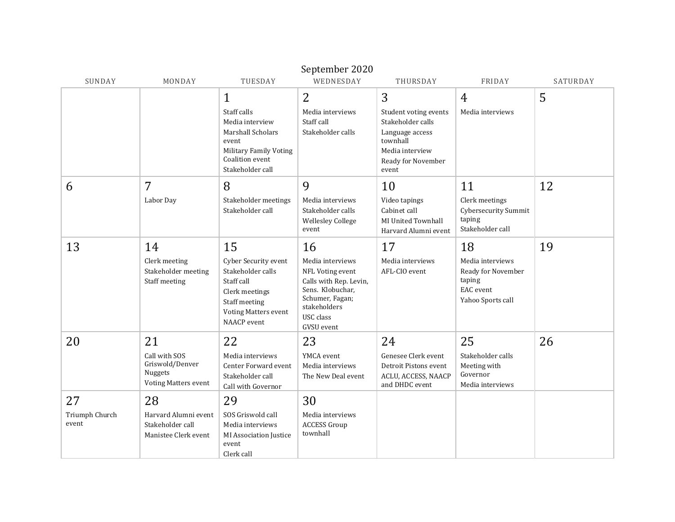| SUNDAY                  | MONDAY                                                                     | TUESDAY                                                                                                                                  | WEDNESDAY                                                                                                                                                      | THURSDAY                                                                                                                    | FRIDAY                                                                             | SATURDAY |
|-------------------------|----------------------------------------------------------------------------|------------------------------------------------------------------------------------------------------------------------------------------|----------------------------------------------------------------------------------------------------------------------------------------------------------------|-----------------------------------------------------------------------------------------------------------------------------|------------------------------------------------------------------------------------|----------|
|                         |                                                                            | $\mathbf{1}$                                                                                                                             | 2                                                                                                                                                              | 3                                                                                                                           | 4                                                                                  | 5        |
|                         |                                                                            | Staff calls<br>Media interview<br><b>Marshall Scholars</b><br>event<br>Military Family Voting<br>Coalition event<br>Stakeholder call     | Media interviews<br>Staff call<br>Stakeholder calls                                                                                                            | Student voting events<br>Stakeholder calls<br>Language access<br>townhall<br>Media interview<br>Ready for November<br>event | Media interviews                                                                   |          |
| 6                       | 7                                                                          | 8                                                                                                                                        | 9                                                                                                                                                              | 10                                                                                                                          | 11                                                                                 | 12       |
|                         | Labor Day                                                                  | Stakeholder meetings<br>Stakeholder call                                                                                                 | Media interviews<br>Stakeholder calls<br><b>Wellesley College</b><br>event                                                                                     | Video tapings<br>Cabinet call<br>MI United Townhall<br>Harvard Alumni event                                                 | Clerk meetings<br><b>Cybersecurity Summit</b><br>taping<br>Stakeholder call        |          |
| 13                      | 14                                                                         | 15                                                                                                                                       | 16                                                                                                                                                             | 17                                                                                                                          | 18                                                                                 | 19       |
|                         | Clerk meeting<br>Stakeholder meeting<br>Staff meeting                      | <b>Cyber Security event</b><br>Stakeholder calls<br>Staff call<br>Clerk meetings<br>Staff meeting<br>Voting Matters event<br>NAACP event | Media interviews<br>NFL Voting event<br>Calls with Rep. Levin,<br>Sens. Klobuchar,<br>Schumer, Fagan;<br>stakeholders<br><b>USC</b> class<br><b>GVSU</b> event | Media interviews<br>AFL-CIO event                                                                                           | Media interviews<br>Ready for November<br>taping<br>EAC event<br>Yahoo Sports call |          |
| 20                      | 21                                                                         | 22                                                                                                                                       | 23                                                                                                                                                             | 24                                                                                                                          | 25                                                                                 | 26       |
|                         | Call with SOS<br>Griswold/Denver<br>Nuggets<br><b>Voting Matters event</b> | Media interviews<br><b>Center Forward event</b><br>Stakeholder call<br>Call with Governor                                                | YMCA event<br>Media interviews<br>The New Deal event                                                                                                           | Genesee Clerk event<br>Detroit Pistons event<br>ACLU, ACCESS, NAACP<br>and DHDC event                                       | Stakeholder calls<br>Meeting with<br>Governor<br>Media interviews                  |          |
| 27                      | 28                                                                         | 29                                                                                                                                       | 30                                                                                                                                                             |                                                                                                                             |                                                                                    |          |
| Triumph Church<br>event | Harvard Alumni event<br>Stakeholder call<br>Manistee Clerk event           | SOS Griswold call<br>Media interviews<br>MI Association Justice<br>event<br>Clerk call                                                   | Media interviews<br><b>ACCESS Group</b><br>townhall                                                                                                            |                                                                                                                             |                                                                                    |          |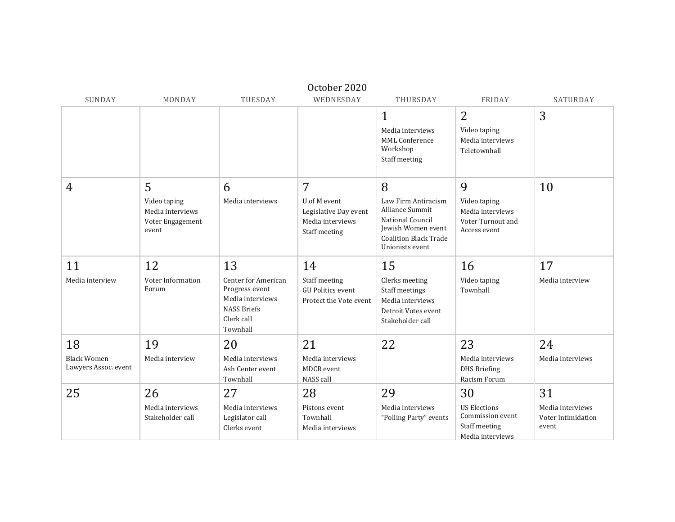|                                                  |                                                                    |                                                                                                                        | October 2020                                                                    |                                                                                                                                          |                                                                                    |                                                       |
|--------------------------------------------------|--------------------------------------------------------------------|------------------------------------------------------------------------------------------------------------------------|---------------------------------------------------------------------------------|------------------------------------------------------------------------------------------------------------------------------------------|------------------------------------------------------------------------------------|-------------------------------------------------------|
| SUNDAY                                           | MONDAY                                                             | TUESDAY                                                                                                                | WEDNESDAY                                                                       | THURSDAY                                                                                                                                 | FRIDAY                                                                             | SATURDAY                                              |
|                                                  |                                                                    |                                                                                                                        |                                                                                 | $\mathbf{1}$<br>Media interviews<br>MML Conference<br>Workshop<br>Staff meeting                                                          | 2<br>Video taping<br>Media interviews<br>Teletownhall                              | 3                                                     |
| 4                                                | 5<br>Video taping<br>Media interviews<br>Voter Engagement<br>event | 6<br>Media interviews                                                                                                  | 7<br>U of M event<br>Legislative Day event<br>Media interviews<br>Staff meeting | 8<br>Law Firm Antiracism<br>Alliance Summit<br>National Council<br>Jewish Women event<br><b>Coalition Black Trade</b><br>Unionists event | 9<br>Video taping<br>Media interviews<br>Voter Turnout and<br>Access event         | 10                                                    |
| 11<br>Media interview                            | 12<br>Voter Information<br>Forum                                   | 13<br><b>Center for American</b><br>Progress event<br>Media interviews<br><b>NASS Briefs</b><br>Clerk call<br>Townhall | 14<br>Staff meeting<br><b>GU Politics event</b><br>Protect the Vote event       | 15<br>Clerks meeting<br>Staff meetings<br>Media interviews<br>Detroit Votes event<br>Stakeholder call                                    | 16<br>Video taping<br>Townhall                                                     | 17<br>Media interview                                 |
| 18<br><b>Black Women</b><br>Lawyers Assoc. event | 19<br>Media interview                                              | 20<br>Media interviews<br>Ash Center event<br>Townhall                                                                 | 21<br>Media interviews<br>MDCR event<br>NASS call                               | 22                                                                                                                                       | 23<br>Media interviews<br><b>DHS</b> Briefing<br>Racism Forum                      | 24<br>Media interviews                                |
| 25                                               | 26<br>Media interviews<br>Stakeholder call                         | 27<br>Media interviews<br>Legislator call<br>Clerks event                                                              | 28<br>Pistons event<br>Townhall<br>Media interviews                             | 29<br>Media interviews<br>"Polling Party" events                                                                                         | 30<br><b>US Elections</b><br>Commission event<br>Staff meeting<br>Media interviews | 31<br>Media interviews<br>Voter Intimidation<br>event |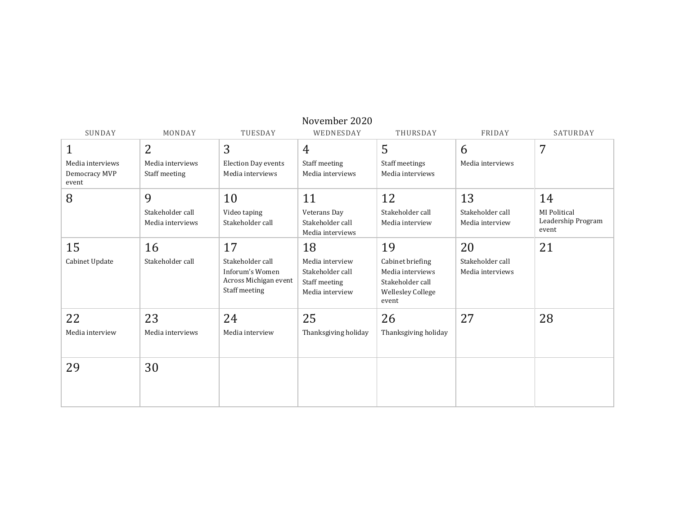| SUNDAY                                     | MONDAY                               | TUESDAY                                                                       | November 2020<br>WEDNESDAY                                              | THURSDAY                                                                                      | FRIDAY                               | SATURDAY                                    |
|--------------------------------------------|--------------------------------------|-------------------------------------------------------------------------------|-------------------------------------------------------------------------|-----------------------------------------------------------------------------------------------|--------------------------------------|---------------------------------------------|
| 1                                          | $\overline{2}$                       | 3                                                                             | 4                                                                       | 5                                                                                             | 6                                    | 7                                           |
| Media interviews<br>Democracy MVP<br>event | Media interviews<br>Staff meeting    | <b>Election Day events</b><br>Media interviews                                | Staff meeting<br>Media interviews                                       | Staff meetings<br>Media interviews                                                            | Media interviews                     |                                             |
| 8                                          | 9                                    | 10                                                                            | 11                                                                      | 12                                                                                            | 13                                   | 14                                          |
|                                            | Stakeholder call<br>Media interviews | Video taping<br>Stakeholder call                                              | Veterans Day<br>Stakeholder call<br>Media interviews                    | Stakeholder call<br>Media interview                                                           | Stakeholder call<br>Media interview  | MI Political<br>Leadership Program<br>event |
| 15                                         | 16                                   | 17                                                                            | 18                                                                      | 19                                                                                            | 20                                   | 21                                          |
| Cabinet Update                             | Stakeholder call                     | Stakeholder call<br>Inforum's Women<br>Across Michigan event<br>Staff meeting | Media interview<br>Stakeholder call<br>Staff meeting<br>Media interview | Cabinet briefing<br>Media interviews<br>Stakeholder call<br><b>Wellesley College</b><br>event | Stakeholder call<br>Media interviews |                                             |
| 22                                         | 23                                   | 24                                                                            | 25                                                                      | 26                                                                                            | 27                                   | 28                                          |
| Media interview                            | Media interviews                     | Media interview                                                               | Thanksgiving holiday                                                    | Thanksgiving holiday                                                                          |                                      |                                             |
| 29                                         | 30                                   |                                                                               |                                                                         |                                                                                               |                                      |                                             |